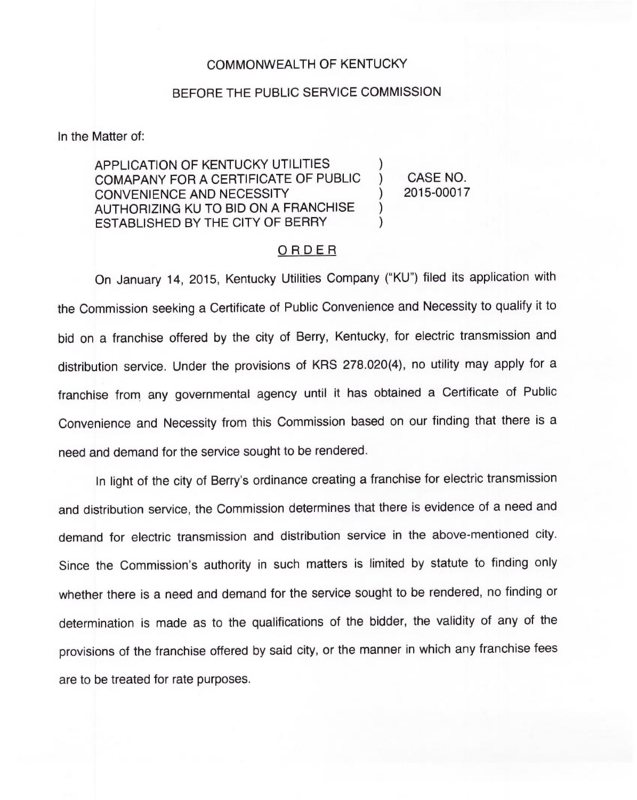## COMMONWEALTH OF KENTUCKY

## BEFORE THE PUBLIC SERVICE COMMISSION

In the Matter of:

APPLICATION OF KENTUCKY UTILITIES COMAPANY FOR A CERTIFICATE OF PUBLIC ) CONVENIENCE AND NECESSITY AUTHORIZING KU TO BID ON A FRANCHISE ESTABLISHED BY THE CITY OF BERRY

CASE NO. 2015-00017

## ORDER

On January 14, 2015, Kentucky Utilities Company ("KU") filed its application with the Commission seeking a Certificate of Public Convenience and Necessity to qualify it to bid on a franchise offered by the city of Berry, Kentucky, for electric transmission and distribution service. Under the provisions of KRS 278.020(4), no utility may apply for a franchise from any governmental agency until it has obtained a Certificate of Public Convenience and Necessity from this Commission based on our finding that there is a need and demand for the service sought to be rendered.

In light of the city of Berry's ordinance creating a franchise for electric transmission and distribution service, the Commission determines that there is evidence of a need and demand for electric transmission and distribution service in the above-mentioned city. Since the Commission's authority in such matters is limited by statute to finding only whether there is a need and demand for the service sought to be rendered, no finding or determination is made as to the qualifications of the bidder, the validity of any of the provisions of the franchise offered by said city, or the manner in which any franchise fees are to be treated for rate purposes.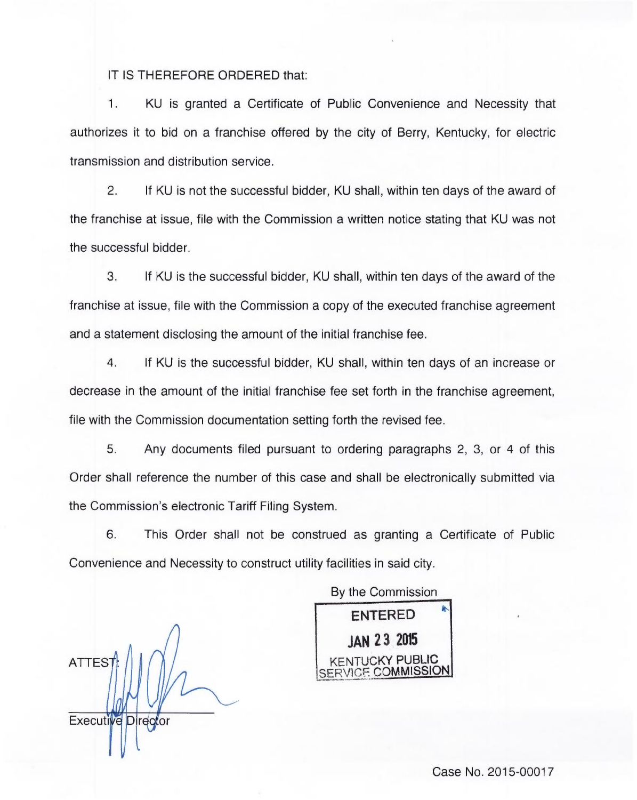IT IS THEREFORE ORDERED that:

KU is granted a Certificate of Public Convenience and Necessity that 1. authorizes it to bid on a franchise offered by the city of Berry, Kentucky, for electric transmission and distribution service.

2. If KU is not the successful bidder, KU shall, within ten days of the award of the franchise at issue, file with the Commission a written notice stating that KU was not the successful bidder.

3. If KU is the successful bidder, KU shall, within ten days of the award of the franchise at issue, file with the Commission a copy of the executed franchise agreement and a statement disclosing the amount of the initial franchise fee.

4. If KU is the successful bidder, KU shall, within ten days of an increase or decrease in the amount of the initial franchise fee set forth in the franchise agreement, file with the Commission documentation setting forth the revised fee.

5. Any documents filed pursuant to ordering paragraphs 2, 3, or 4 of this Order shall reference the number of this case and shall be electronically submitted via the Commission's electronic Tariff Filing System.

6. This Order shall not be construed as granting a Certificate of Public Convenience and Necessity to construct utility facilities in said city.

ATTES Executive Director

By the Commission ENTERED JAN 23 205 KENTUCKY PUBLIC SERVICE COMMISSION

Case No. 2015-00017